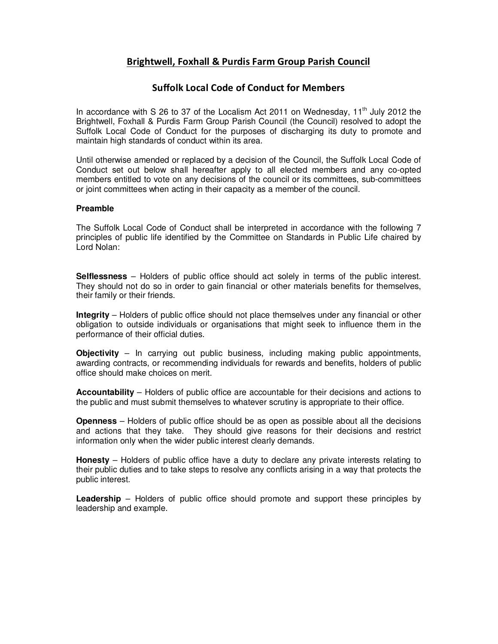# **Brightwell, Foxhall & Purdis Farm Group Parish Council**

### **Suffolk Local Code of Conduct for Members**

In accordance with S 26 to 37 of the Localism Act 2011 on Wednesday,  $11<sup>th</sup>$  July 2012 the Brightwell, Foxhall & Purdis Farm Group Parish Council (the Council) resolved to adopt the Suffolk Local Code of Conduct for the purposes of discharging its duty to promote and maintain high standards of conduct within its area.

Until otherwise amended or replaced by a decision of the Council, the Suffolk Local Code of Conduct set out below shall hereafter apply to all elected members and any co-opted members entitled to vote on any decisions of the council or its committees, sub-committees or joint committees when acting in their capacity as a member of the council.

### **Preamble**

The Suffolk Local Code of Conduct shall be interpreted in accordance with the following 7 principles of public life identified by the Committee on Standards in Public Life chaired by Lord Nolan:

**Selflessness** – Holders of public office should act solely in terms of the public interest. They should not do so in order to gain financial or other materials benefits for themselves, their family or their friends.

**Integrity** – Holders of public office should not place themselves under any financial or other obligation to outside individuals or organisations that might seek to influence them in the performance of their official duties.

**Objectivity** – In carrying out public business, including making public appointments, awarding contracts, or recommending individuals for rewards and benefits, holders of public office should make choices on merit.

**Accountability** – Holders of public office are accountable for their decisions and actions to the public and must submit themselves to whatever scrutiny is appropriate to their office.

**Openness** – Holders of public office should be as open as possible about all the decisions and actions that they take. They should give reasons for their decisions and restrict information only when the wider public interest clearly demands.

**Honesty** – Holders of public office have a duty to declare any private interests relating to their public duties and to take steps to resolve any conflicts arising in a way that protects the public interest.

**Leadership** – Holders of public office should promote and support these principles by leadership and example.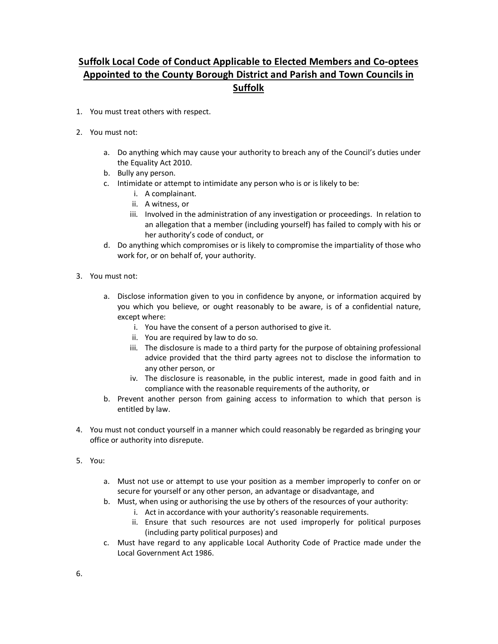# **Suffolk Local Code of Conduct Applicable to Elected Members and Co-optees Appointed to the County Borough District and Parish and Town Councils in Suffolk**

- 1. You must treat others with respect.
- 2. You must not:
	- a. Do anything which may cause your authority to breach any of the Council's duties under the Equality Act 2010.
	- b. Bully any person.
	- c. Intimidate or attempt to intimidate any person who is or is likely to be:
		- i. A complainant.
		- ii. A witness, or
		- iii. Involved in the administration of any investigation or proceedings. In relation to an allegation that a member (including yourself) has failed to comply with his or her authority's code of conduct, or
	- d. Do anything which compromises or is likely to compromise the impartiality of those who work for, or on behalf of, your authority.
- 3. You must not:
	- a. Disclose information given to you in confidence by anyone, or information acquired by you which you believe, or ought reasonably to be aware, is of a confidential nature, except where:
		- i. You have the consent of a person authorised to give it.
		- ii. You are required by law to do so.
		- iii. The disclosure is made to a third party for the purpose of obtaining professional advice provided that the third party agrees not to disclose the information to any other person, or
		- iv. The disclosure is reasonable, in the public interest, made in good faith and in compliance with the reasonable requirements of the authority, or
	- b. Prevent another person from gaining access to information to which that person is entitled by law.
- 4. You must not conduct yourself in a manner which could reasonably be regarded as bringing your office or authority into disrepute.
- 5. You:
	- a. Must not use or attempt to use your position as a member improperly to confer on or secure for yourself or any other person, an advantage or disadvantage, and
	- b. Must, when using or authorising the use by others of the resources of your authority:
		- i. Act in accordance with your authority's reasonable requirements.
		- ii. Ensure that such resources are not used improperly for political purposes (including party political purposes) and
	- c. Must have regard to any applicable Local Authority Code of Practice made under the Local Government Act 1986.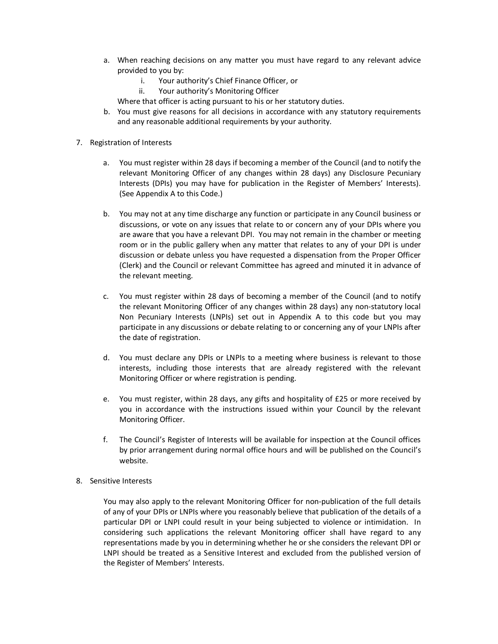- a. When reaching decisions on any matter you must have regard to any relevant advice provided to you by:
	- i. Your authority's Chief Finance Officer, or
	- ii. Your authority's Monitoring Officer

Where that officer is acting pursuant to his or her statutory duties.

- b. You must give reasons for all decisions in accordance with any statutory requirements and any reasonable additional requirements by your authority.
- 7. Registration of Interests
	- a. You must register within 28 days if becoming a member of the Council (and to notify the relevant Monitoring Officer of any changes within 28 days) any Disclosure Pecuniary Interests (DPIs) you may have for publication in the Register of Members' Interests). (See Appendix A to this Code.)
	- b. You may not at any time discharge any function or participate in any Council business or discussions, or vote on any issues that relate to or concern any of your DPIs where you are aware that you have a relevant DPI. You may not remain in the chamber or meeting room or in the public gallery when any matter that relates to any of your DPI is under discussion or debate unless you have requested a dispensation from the Proper Officer (Clerk) and the Council or relevant Committee has agreed and minuted it in advance of the relevant meeting.
	- c. You must register within 28 days of becoming a member of the Council (and to notify the relevant Monitoring Officer of any changes within 28 days) any non-statutory local Non Pecuniary Interests (LNPIs) set out in Appendix A to this code but you may participate in any discussions or debate relating to or concerning any of your LNPIs after the date of registration.
	- d. You must declare any DPIs or LNPIs to a meeting where business is relevant to those interests, including those interests that are already registered with the relevant Monitoring Officer or where registration is pending.
	- e. You must register, within 28 days, any gifts and hospitality of £25 or more received by you in accordance with the instructions issued within your Council by the relevant Monitoring Officer.
	- f. The Council's Register of Interests will be available for inspection at the Council offices by prior arrangement during normal office hours and will be published on the Council's website.
- 8. Sensitive Interests

You may also apply to the relevant Monitoring Officer for non-publication of the full details of any of your DPIs or LNPIs where you reasonably believe that publication of the details of a particular DPI or LNPI could result in your being subjected to violence or intimidation. In considering such applications the relevant Monitoring officer shall have regard to any representations made by you in determining whether he or she considers the relevant DPI or LNPI should be treated as a Sensitive Interest and excluded from the published version of the Register of Members' Interests.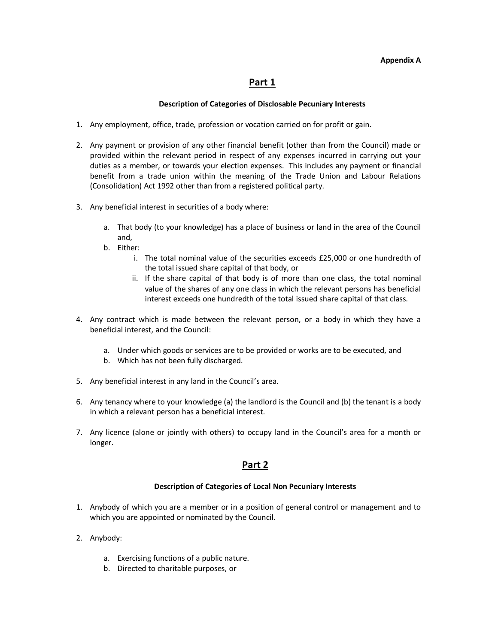#### **Appendix A**

## **Part 1**

### **Description of Categories of Disclosable Pecuniary Interests**

- 1. Any employment, office, trade, profession or vocation carried on for profit or gain.
- 2. Any payment or provision of any other financial benefit (other than from the Council) made or provided within the relevant period in respect of any expenses incurred in carrying out your duties as a member, or towards your election expenses. This includes any payment or financial benefit from a trade union within the meaning of the Trade Union and Labour Relations (Consolidation) Act 1992 other than from a registered political party.
- 3. Any beneficial interest in securities of a body where:
	- a. That body (to your knowledge) has a place of business or land in the area of the Council and,
	- b. Either:
		- i. The total nominal value of the securities exceeds £25,000 or one hundredth of the total issued share capital of that body, or
		- ii. If the share capital of that body is of more than one class, the total nominal value of the shares of any one class in which the relevant persons has beneficial interest exceeds one hundredth of the total issued share capital of that class.
- 4. Any contract which is made between the relevant person, or a body in which they have a beneficial interest, and the Council:
	- a. Under which goods or services are to be provided or works are to be executed, and
	- b. Which has not been fully discharged.
- 5. Any beneficial interest in any land in the Council's area.
- 6. Any tenancy where to your knowledge (a) the landlord is the Council and (b) the tenant is a body in which a relevant person has a beneficial interest.
- 7. Any licence (alone or jointly with others) to occupy land in the Council's area for a month or longer.

# **Part 2**

### **Description of Categories of Local Non Pecuniary Interests**

- 1. Anybody of which you are a member or in a position of general control or management and to which you are appointed or nominated by the Council.
- 2. Anybody:
	- a. Exercising functions of a public nature.
	- b. Directed to charitable purposes, or